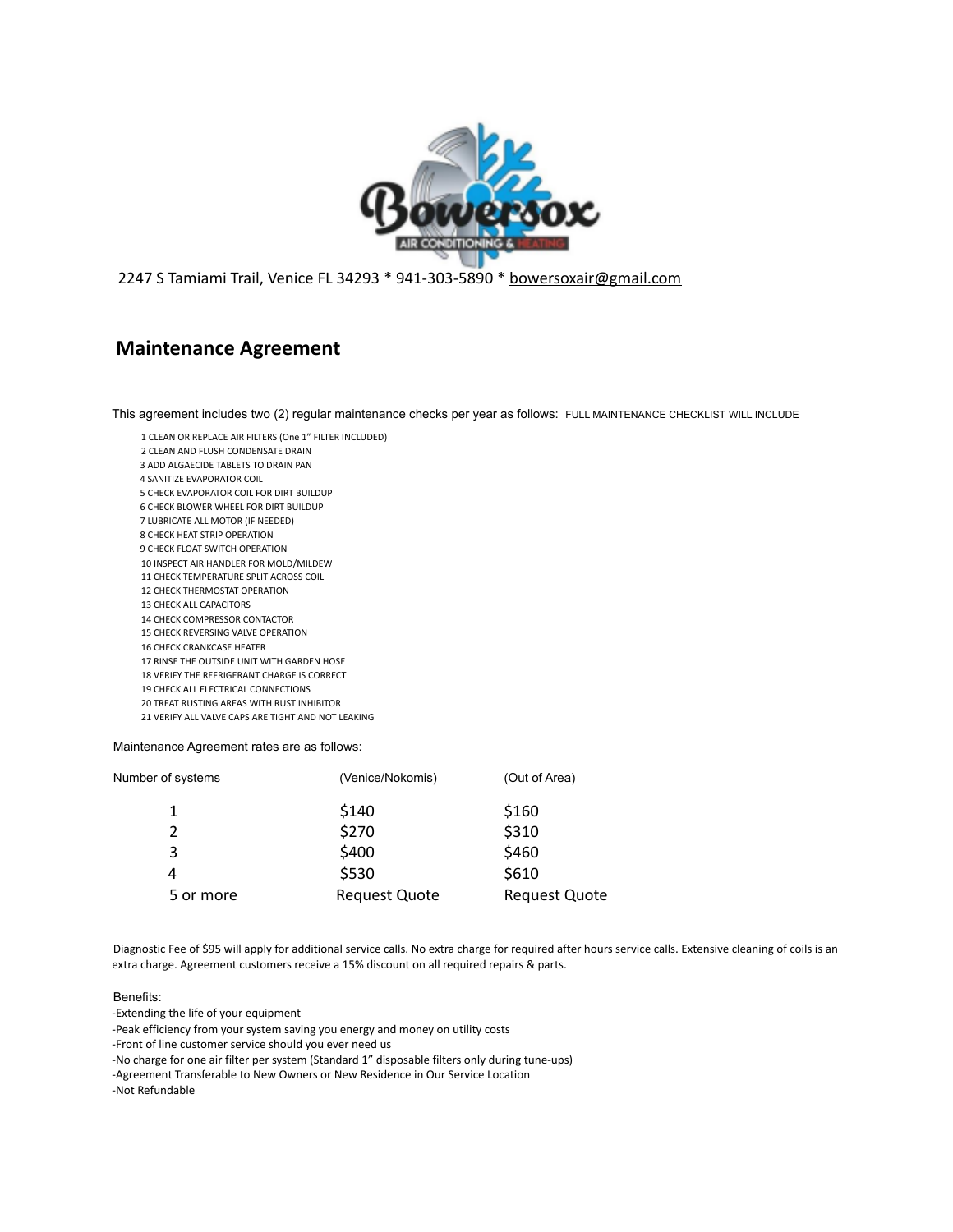

S Tamiami Trail, Venice FL 34293 \* 941-303-5890 \* bowersoxair@gmail.com

## **Maintenance Agreement**

This agreement includes two (2) regular maintenance checks per year as follows: FULL MAINTENANCE CHECKLIST WILL INCLUDE

- CLEAN OR REPLACE AIR FILTERS (One 1" FILTER INCLUDED)
- CLEAN AND FLUSH CONDENSATE DRAIN
- ADD ALGAECIDE TABLETS TO DRAIN PAN
- SANITIZE EVAPORATOR COIL
- CHECK EVAPORATOR COIL FOR DIRT BUILDUP
- CHECK BLOWER WHEEL FOR DIRT BUILDUP
- LUBRICATE ALL MOTOR (IF NEEDED) CHECK HEAT STRIP OPERATION
- CHECK FLOAT SWITCH OPERATION
- INSPECT AIR HANDLER FOR MOLD/MILDEW
- CHECK TEMPERATURE SPLIT ACROSS COIL
- CHECK THERMOSTAT OPERATION
- CHECK ALL CAPACITORS
- CHECK COMPRESSOR CONTACTOR
- CHECK REVERSING VALVE OPERATION
- CHECK CRANKCASE HEATER
- RINSE THE OUTSIDE UNIT WITH GARDEN HOSE
- VERIFY THE REFRIGERANT CHARGE IS CORRECT
- CHECK ALL ELECTRICAL CONNECTIONS
- TREAT RUSTING AREAS WITH RUST INHIBITOR VERIFY ALL VALVE CAPS ARE TIGHT AND NOT LEAKING

Maintenance Agreement rates are as follows:

| Number of systems | (Venice/Nokomis)     | (Out of Area)        |
|-------------------|----------------------|----------------------|
| 1                 | \$140                | \$160                |
| 2                 | \$270                | \$310                |
| 3                 | \$400                | \$460                |
| 4                 | \$530                | \$610                |
| 5 or more         | <b>Request Quote</b> | <b>Request Quote</b> |

Diagnostic Fee of \$95 will apply for additional service calls. No extra charge for required after hours service calls. Extensive cleaning of coils is an extra charge. Agreement customers receive a 15% discount on all required repairs & parts.

## Benefits:

-Extending the life of your equipment

-Peak efficiency from your system saving you energy and money on utility costs

-Front of line customer service should you ever need us

-No charge for one air filter per system (Standard 1" disposable filters only during tune-ups)

-Agreement Transferable to New Owners or New Residence in Our Service Location

-Not Refundable